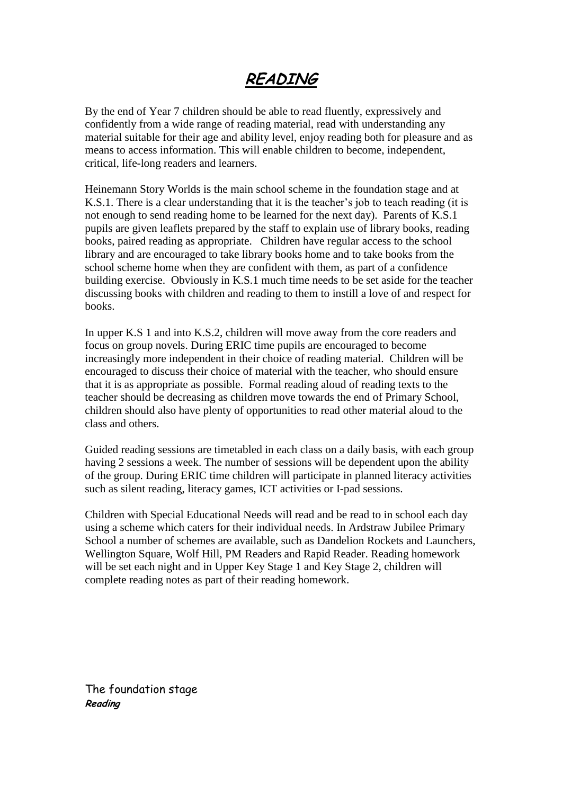# **READING**

By the end of Year 7 children should be able to read fluently, expressively and confidently from a wide range of reading material, read with understanding any material suitable for their age and ability level, enjoy reading both for pleasure and as means to access information. This will enable children to become, independent, critical, life-long readers and learners.

Heinemann Story Worlds is the main school scheme in the foundation stage and at K.S.1. There is a clear understanding that it is the teacher's job to teach reading (it is not enough to send reading home to be learned for the next day). Parents of K.S.1 pupils are given leaflets prepared by the staff to explain use of library books, reading books, paired reading as appropriate. Children have regular access to the school library and are encouraged to take library books home and to take books from the school scheme home when they are confident with them, as part of a confidence building exercise. Obviously in K.S.1 much time needs to be set aside for the teacher discussing books with children and reading to them to instill a love of and respect for books.

In upper K.S 1 and into K.S.2, children will move away from the core readers and focus on group novels. During ERIC time pupils are encouraged to become increasingly more independent in their choice of reading material. Children will be encouraged to discuss their choice of material with the teacher, who should ensure that it is as appropriate as possible. Formal reading aloud of reading texts to the teacher should be decreasing as children move towards the end of Primary School, children should also have plenty of opportunities to read other material aloud to the class and others.

Guided reading sessions are timetabled in each class on a daily basis, with each group having 2 sessions a week. The number of sessions will be dependent upon the ability of the group. During ERIC time children will participate in planned literacy activities such as silent reading, literacy games, ICT activities or I-pad sessions.

Children with Special Educational Needs will read and be read to in school each day using a scheme which caters for their individual needs. In Ardstraw Jubilee Primary School a number of schemes are available, such as Dandelion Rockets and Launchers, Wellington Square, Wolf Hill, PM Readers and Rapid Reader. Reading homework will be set each night and in Upper Key Stage 1 and Key Stage 2, children will complete reading notes as part of their reading homework.

The foundation stage **Reading**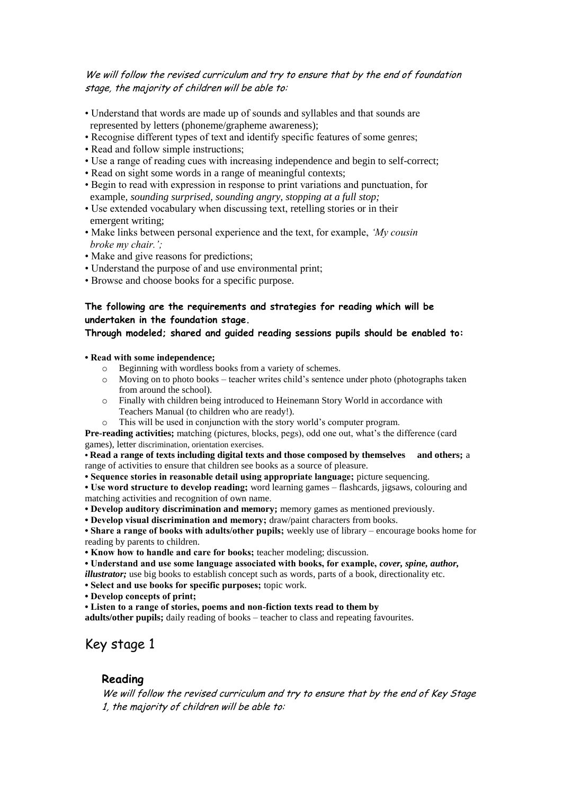#### We will follow the revised curriculum and try to ensure that by the end of foundation stage, the majority of children will be able to:

- Understand that words are made up of sounds and syllables and that sounds are represented by letters (phoneme/grapheme awareness);
- Recognise different types of text and identify specific features of some genres;
- Read and follow simple instructions;
- Use a range of reading cues with increasing independence and begin to self-correct;
- Read on sight some words in a range of meaningful contexts;
- Begin to read with expression in response to print variations and punctuation, for example*, sounding surprised, sounding angry, stopping at a full stop;*
- Use extended vocabulary when discussing text, retelling stories or in their emergent writing;
- Make links between personal experience and the text, for example, *'My cousin broke my chair.';*
- Make and give reasons for predictions;
- Understand the purpose of and use environmental print;
- Browse and choose books for a specific purpose.

#### **The following are the requirements and strategies for reading which will be undertaken in the foundation stage.**

#### **Through modeled; shared and guided reading sessions pupils should be enabled to:**

**• Read with some independence;** 

- o Beginning with wordless books from a variety of schemes.
- o Moving on to photo books teacher writes child's sentence under photo (photographs taken from around the school).
- o Finally with children being introduced to Heinemann Story World in accordance with Teachers Manual (to children who are ready!).
- o This will be used in conjunction with the story world's computer program.

**Pre-reading activities;** matching (pictures, blocks, pegs), odd one out, what's the difference (card games), letter discrimination, orientation exercises.

**• Read a range of texts including digital texts and those composed by themselves and others;** a range of activities to ensure that children see books as a source of pleasure.

**• Sequence stories in reasonable detail using appropriate language;** picture sequencing.

**• Use word structure to develop reading;** word learning games – flashcards, jigsaws, colouring and matching activities and recognition of own name.

**• Develop auditory discrimination and memory;** memory games as mentioned previously.

**• Develop visual discrimination and memory;** draw/paint characters from books.

**• Share a range of books with adults/other pupils;** weekly use of library – encourage books home for reading by parents to children.

**• Know how to handle and care for books;** teacher modeling; discussion.

**• Understand and use some language associated with books, for example,** *cover, spine, author,* 

*illustrator*; use big books to establish concept such as words, parts of a book, directionality etc.

**• Select and use books for specific purposes;** topic work.

**• Develop concepts of print;**

**• Listen to a range of stories, poems and non-fiction texts read to them by**

**adults/other pupils;** daily reading of books – teacher to class and repeating favourites.

## Key stage 1

#### **Reading**

We will follow the revised curriculum and try to ensure that by the end of Key Stage 1, the majority of children will be able to: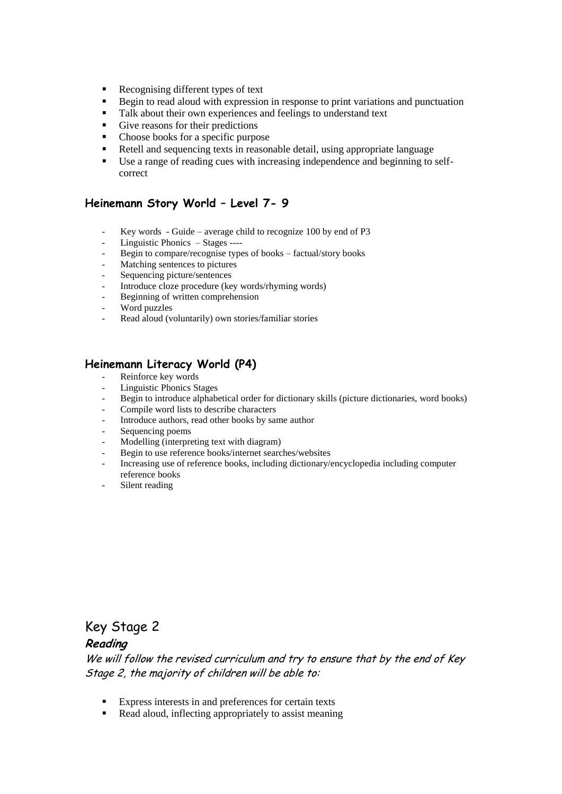- Recognising different types of text
- Begin to read aloud with expression in response to print variations and punctuation
- Talk about their own experiences and feelings to understand text
- Give reasons for their predictions
- Choose books for a specific purpose
- Retell and sequencing texts in reasonable detail, using appropriate language
- Use a range of reading cues with increasing independence and beginning to selfcorrect

#### **Heinemann Story World – Level 7- 9**

- Key words Guide average child to recognize 100 by end of  $P3$
- Linguistic Phonics Stages ----
- Begin to compare/recognise types of books factual/story books
- Matching sentences to pictures
- Sequencing picture/sentences
- Introduce cloze procedure (key words/rhyming words)
- Beginning of written comprehension
- Word puzzles
- Read aloud (voluntarily) own stories/familiar stories

### **Heinemann Literacy World (P4)**

- Reinforce key words
- Linguistic Phonics Stages
- Begin to introduce alphabetical order for dictionary skills (picture dictionaries, word books)
- Compile word lists to describe characters
- Introduce authors, read other books by same author
- Sequencing poems
- Modelling (interpreting text with diagram)
- Begin to use reference books/internet searches/websites
- Increasing use of reference books, including dictionary/encyclopedia including computer reference books
- Silent reading

## Key Stage 2

### **Reading**

We will follow the revised curriculum and try to ensure that by the end of Key Stage 2, the majority of children will be able to:

- Express interests in and preferences for certain texts
- Read aloud, inflecting appropriately to assist meaning